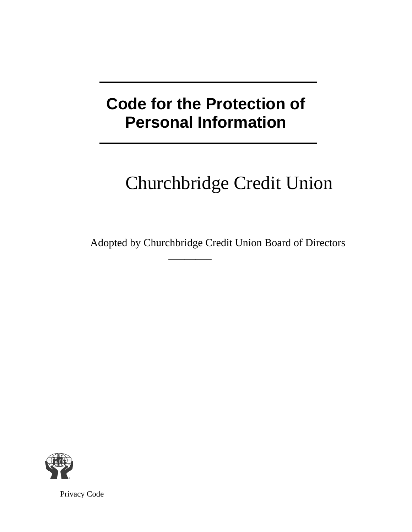## **Code for the Protection of Personal Information**

# Churchbridge Credit Union

Adopted by Churchbridge Credit Union Board of Directors

 $\overline{\phantom{a}}$ 



Privacy Code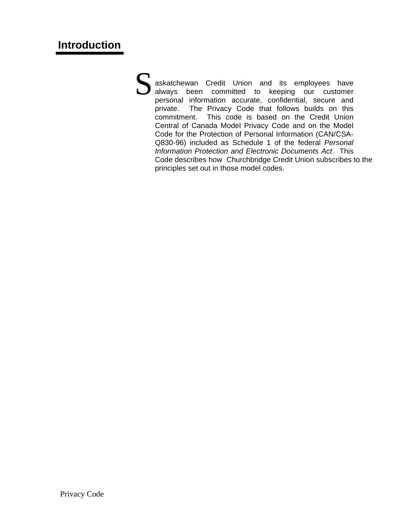askatchewan Credit Union and its employees have always been committed to keeping our customer personal information accurate, confidential, secure and private. The Privacy Code that follows builds on this commitment. This code is based on the Credit Union Central of Canada Model Privacy Code and on the Model Code for the Protection of Personal Information (CAN/CSA-Q830-96) included as Schedule 1 of the federal *Personal Information Protection and Electronic Documents Act*. This Code describes how Churchbridge Credit Union subscribes to the principles set out in those model codes.  $S_{\frac{as}{s}}$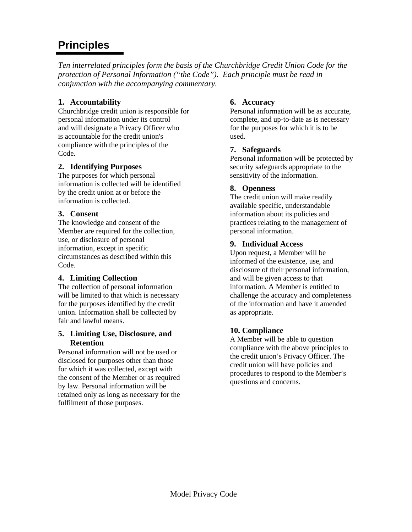## **Principles**

*Ten interrelated principles form the basis of the Churchbridge Credit Union Code for the protection of Personal Information ("the Code"). Each principle must be read in conjunction with the accompanying commentary.* 

#### **1. Accountability**

Churchbridge credit union is responsible for personal information under its control and will designate a Privacy Officer who is accountable for the credit union's compliance with the principles of the Code.

#### **2. Identifying Purposes**

The purposes for which personal information is collected will be identified by the credit union at or before the information is collected.

#### **3. Consent**

The knowledge and consent of the Member are required for the collection, use, or disclosure of personal information, except in specific circumstances as described within this Code.

#### **4. Limiting Collection**

The collection of personal information will be limited to that which is necessary for the purposes identified by the credit union. Information shall be collected by fair and lawful means.

#### **5. Limiting Use, Disclosure, and Retention**

Personal information will not be used or disclosed for purposes other than those for which it was collected, except with the consent of the Member or as required by law. Personal information will be retained only as long as necessary for the fulfilment of those purposes.

#### **6. Accuracy**

Personal information will be as accurate, complete, and up-to-date as is necessary for the purposes for which it is to be used.

#### **7. Safeguards**

Personal information will be protected by security safeguards appropriate to the sensitivity of the information.

#### **8. Openness**

The credit union will make readily available specific, understandable information about its policies and practices relating to the management of personal information.

#### **9. Individual Access**

Upon request, a Member will be informed of the existence, use, and disclosure of their personal information, and will be given access to that information. A Member is entitled to challenge the accuracy and completeness of the information and have it amended as appropriate.

#### **10. Compliance**

A Member will be able to question compliance with the above principles to the credit union's Privacy Officer. The credit union will have policies and procedures to respond to the Member's questions and concerns.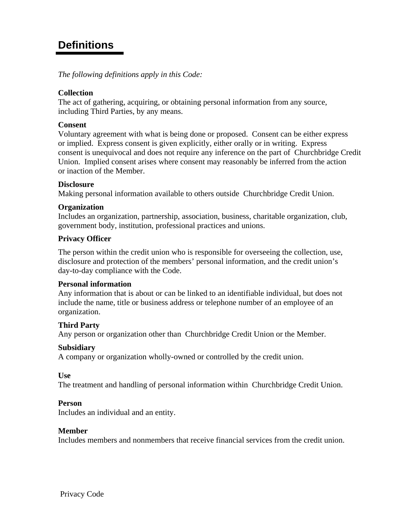### **Definitions**

*The following definitions apply in this Code:*

#### **Collection**

The act of gathering, acquiring, or obtaining personal information from any source, including Third Parties, by any means.

#### **Consent**

Voluntary agreement with what is being done or proposed. Consent can be either express or implied. Express consent is given explicitly, either orally or in writing. Express consent is unequivocal and does not require any inference on the part of Churchbridge Credit Union. Implied consent arises where consent may reasonably be inferred from the action or inaction of the Member.

#### **Disclosure**

Making personal information available to others outside Churchbridge Credit Union.

#### **Organization**

Includes an organization, partnership, association, business, charitable organization, club, government body, institution, professional practices and unions.

#### **Privacy Officer**

The person within the credit union who is responsible for overseeing the collection, use, disclosure and protection of the members' personal information, and the credit union's day-to-day compliance with the Code.

#### **Personal information**

Any information that is about or can be linked to an identifiable individual, but does not include the name, title or business address or telephone number of an employee of an organization.

#### **Third Party**

Any person or organization other than Churchbridge Credit Union or the Member.

#### **Subsidiary**

A company or organization wholly-owned or controlled by the credit union.

**Use** 

The treatment and handling of personal information within Churchbridge Credit Union.

#### **Person**

Includes an individual and an entity.

#### **Member**

Includes members and nonmembers that receive financial services from the credit union.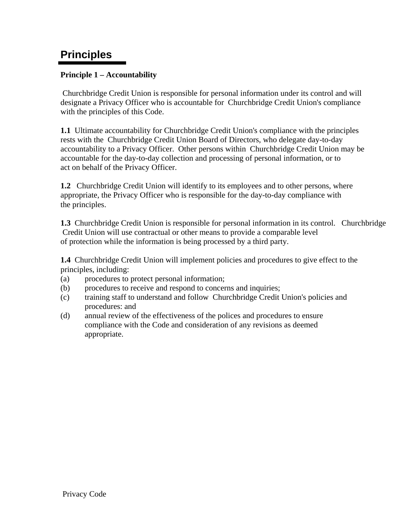## **Principles**

#### **Principle 1 – Accountability**

Churchbridge Credit Union is responsible for personal information under its control and will designate a Privacy Officer who is accountable for Churchbridge Credit Union's compliance with the principles of this Code.

**1.1** Ultimate accountability for Churchbridge Credit Union's compliance with the principles rests with the Churchbridge Credit Union Board of Directors, who delegate day-to-day accountability to a Privacy Officer. Other persons within Churchbridge Credit Union may be accountable for the day-to-day collection and processing of personal information, or to act on behalf of the Privacy Officer.

**1.2** Churchbridge Credit Union will identify to its employees and to other persons, where appropriate, the Privacy Officer who is responsible for the day-to-day compliance with the principles.

**1.3** Churchbridge Credit Union is responsible for personal information in its control. Churchbridge Credit Union will use contractual or other means to provide a comparable level of protection while the information is being processed by a third party.

**1.4** Churchbridge Credit Union will implement policies and procedures to give effect to the principles, including:

- (a) procedures to protect personal information;
- (b) procedures to receive and respond to concerns and inquiries;
- (c) training staff to understand and follow Churchbridge Credit Union's policies and procedures: and
- (d) annual review of the effectiveness of the polices and procedures to ensure compliance with the Code and consideration of any revisions as deemed appropriate.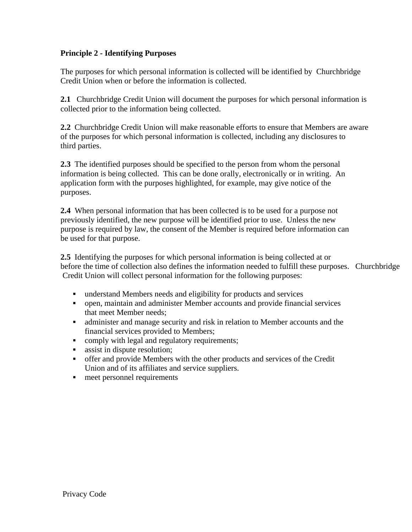#### **Principle 2 - Identifying Purposes**

The purposes for which personal information is collected will be identified by Churchbridge Credit Union when or before the information is collected.

**2.1** Churchbridge Credit Union will document the purposes for which personal information is collected prior to the information being collected.

**2.2** Churchbridge Credit Union will make reasonable efforts to ensure that Members are aware of the purposes for which personal information is collected, including any disclosures to third parties.

**2.3** The identified purposes should be specified to the person from whom the personal information is being collected. This can be done orally, electronically or in writing. An application form with the purposes highlighted, for example, may give notice of the purposes.

**2.4** When personal information that has been collected is to be used for a purpose not previously identified, the new purpose will be identified prior to use. Unless the new purpose is required by law, the consent of the Member is required before information can be used for that purpose.

**2.5** Identifying the purposes for which personal information is being collected at or before the time of collection also defines the information needed to fulfill these purposes. Churchbridge Credit Union will collect personal information for the following purposes:

- understand Members needs and eligibility for products and services
- open, maintain and administer Member accounts and provide financial services that meet Member needs;
- administer and manage security and risk in relation to Member accounts and the financial services provided to Members;
- comply with legal and regulatory requirements;
- **assist in dispute resolution;**
- offer and provide Members with the other products and services of the Credit Union and of its affiliates and service suppliers.
- **meet personnel requirements**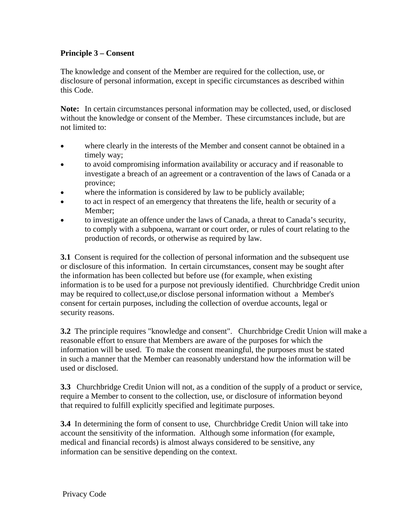#### **Principle 3 – Consent**

The knowledge and consent of the Member are required for the collection, use, or disclosure of personal information, except in specific circumstances as described within this Code.

**Note:** In certain circumstances personal information may be collected, used, or disclosed without the knowledge or consent of the Member. These circumstances include, but are not limited to:

- where clearly in the interests of the Member and consent cannot be obtained in a timely way;
- to avoid compromising information availability or accuracy and if reasonable to investigate a breach of an agreement or a contravention of the laws of Canada or a province;
- where the information is considered by law to be publicly available;
- to act in respect of an emergency that threatens the life, health or security of a Member;
- to investigate an offence under the laws of Canada, a threat to Canada's security, to comply with a subpoena, warrant or court order, or rules of court relating to the production of records, or otherwise as required by law.

**3.1** Consent is required for the collection of personal information and the subsequent use or disclosure of this information. In certain circumstances, consent may be sought after the information has been collected but before use (for example, when existing information is to be used for a purpose not previously identified. Churchbridge Credit union may be required to collect,use,or disclose personal information without a Member's consent for certain purposes, including the collection of overdue accounts, legal or security reasons.

**3.2** The principle requires "knowledge and consent". Churchbridge Credit Union will make a reasonable effort to ensure that Members are aware of the purposes for which the information will be used. To make the consent meaningful, the purposes must be stated in such a manner that the Member can reasonably understand how the information will be used or disclosed.

**3.3** Churchbridge Credit Union will not, as a condition of the supply of a product or service, require a Member to consent to the collection, use, or disclosure of information beyond that required to fulfill explicitly specified and legitimate purposes.

**3.4** In determining the form of consent to use, Churchbridge Credit Union will take into account the sensitivity of the information. Although some information (for example, medical and financial records) is almost always considered to be sensitive, any information can be sensitive depending on the context.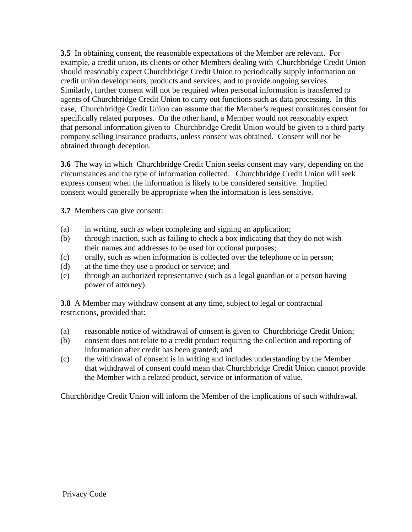**3.5** In obtaining consent, the reasonable expectations of the Member are relevant. For example, a credit union, its clients or other Members dealing with Churchbridge Credit Union should reasonably expect Churchbridge Credit Union to periodically supply information on credit union developments, products and services, and to provide ongoing services. Similarly, further consent will not be required when personal information is transferred to agents of Churchbridge Credit Union to carry out functions such as data processing. In this case, Churchbridge Credit Union can assume that the Member's request constitutes consent for specifically related purposes. On the other hand, a Member would not reasonably expect that personal information given to Churchbridge Credit Union would be given to a third party company selling insurance products, unless consent was obtained. Consent will not be obtained through deception.

**3.6** The way in which Churchbridge Credit Union seeks consent may vary, depending on the circumstances and the type of information collected. Churchbridge Credit Union will seek express consent when the information is likely to be considered sensitive. Implied consent would generally be appropriate when the information is less sensitive.

**3.7** Members can give consent:

- (a) in writing, such as when completing and signing an application;
- (b) through inaction, such as failing to check a box indicating that they do not wish their names and addresses to be used for optional purposes;
- (c) orally, such as when information is collected over the telephone or in person;
- (d) at the time they use a product or service; and
- (e) through an authorized representative (such as a legal guardian or a person having power of attorney).

**3.8** A Member may withdraw consent at any time, subject to legal or contractual restrictions, provided that:

- (a) reasonable notice of withdrawal of consent is given to Churchbridge Credit Union;
- (b) consent does not relate to a credit product requiring the collection and reporting of information after credit has been granted; and
- (c) the withdrawal of consent is in writing and includes understanding by the Member that withdrawal of consent could mean that Churchbridge Credit Union cannot provide the Member with a related product, service or information of value.

Churchbridge Credit Union will inform the Member of the implications of such withdrawal.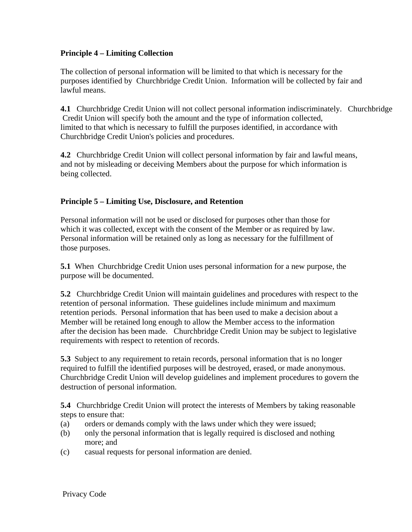#### **Principle 4 – Limiting Collection**

The collection of personal information will be limited to that which is necessary for the purposes identified by Churchbridge Credit Union. Information will be collected by fair and lawful means.

**4.1** Churchbridge Credit Union will not collect personal information indiscriminately. Churchbridge Credit Union will specify both the amount and the type of information collected, limited to that which is necessary to fulfill the purposes identified, in accordance with Churchbridge Credit Union's policies and procedures.

**4.2** Churchbridge Credit Union will collect personal information by fair and lawful means, and not by misleading or deceiving Members about the purpose for which information is being collected.

#### **Principle 5 – Limiting Use, Disclosure, and Retention**

Personal information will not be used or disclosed for purposes other than those for which it was collected, except with the consent of the Member or as required by law. Personal information will be retained only as long as necessary for the fulfillment of those purposes.

**5.1** When Churchbridge Credit Union uses personal information for a new purpose, the purpose will be documented.

**5.2** Churchbridge Credit Union will maintain guidelines and procedures with respect to the retention of personal information. These guidelines include minimum and maximum retention periods. Personal information that has been used to make a decision about a Member will be retained long enough to allow the Member access to the information after the decision has been made. Churchbridge Credit Union may be subject to legislative requirements with respect to retention of records.

**5.3** Subject to any requirement to retain records, personal information that is no longer required to fulfill the identified purposes will be destroyed, erased, or made anonymous. Churchbridge Credit Union will develop guidelines and implement procedures to govern the destruction of personal information.

**5.4** Churchbridge Credit Union will protect the interests of Members by taking reasonable steps to ensure that:

- (a) orders or demands comply with the laws under which they were issued;
- (b) only the personal information that is legally required is disclosed and nothing more; and
- (c) casual requests for personal information are denied.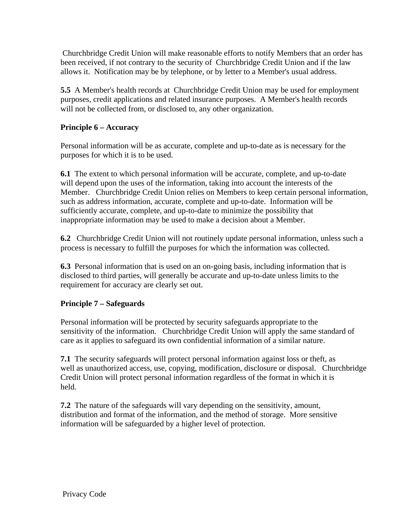Churchbridge Credit Union will make reasonable efforts to notify Members that an order has been received, if not contrary to the security of Churchbridge Credit Union and if the law allows it. Notification may be by telephone, or by letter to a Member's usual address.

**5.5** A Member's health records at Churchbridge Credit Union may be used for employment purposes, credit applications and related insurance purposes. A Member's health records will not be collected from, or disclosed to, any other organization.

#### **Principle 6 – Accuracy**

Personal information will be as accurate, complete and up-to-date as is necessary for the purposes for which it is to be used.

**6.1** The extent to which personal information will be accurate, complete, and up-to-date will depend upon the uses of the information, taking into account the interests of the Member. Churchbridge Credit Union relies on Members to keep certain personal information, such as address information, accurate, complete and up-to-date. Information will be sufficiently accurate, complete, and up-to-date to minimize the possibility that inappropriate information may be used to make a decision about a Member.

**6.2** Churchbridge Credit Union will not routinely update personal information, unless such a process is necessary to fulfill the purposes for which the information was collected.

**6.3** Personal information that is used on an on-going basis, including information that is disclosed to third parties, will generally be accurate and up-to-date unless limits to the requirement for accuracy are clearly set out.

#### **Principle 7 – Safeguards**

Personal information will be protected by security safeguards appropriate to the sensitivity of the information. Churchbridge Credit Union will apply the same standard of care as it applies to safeguard its own confidential information of a similar nature.

**7.1** The security safeguards will protect personal information against loss or theft, as well as unauthorized access, use, copying, modification, disclosure or disposal. Churchbridge Credit Union will protect personal information regardless of the format in which it is held.

**7.2** The nature of the safeguards will vary depending on the sensitivity, amount, distribution and format of the information, and the method of storage. More sensitive information will be safeguarded by a higher level of protection.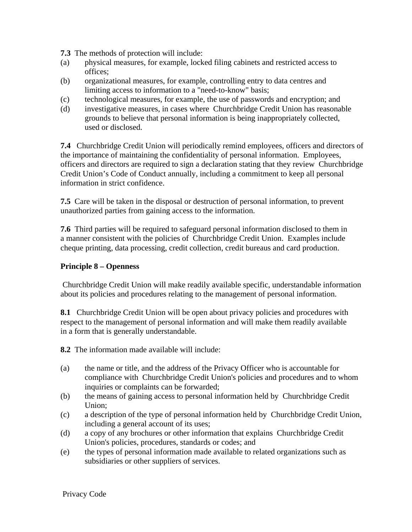**7.3** The methods of protection will include:

- (a) physical measures, for example, locked filing cabinets and restricted access to offices;
- (b) organizational measures, for example, controlling entry to data centres and limiting access to information to a "need-to-know" basis;
- (c) technological measures, for example, the use of passwords and encryption; and
- (d) investigative measures, in cases where Churchbridge Credit Union has reasonable grounds to believe that personal information is being inappropriately collected, used or disclosed.

**7.4** Churchbridge Credit Union will periodically remind employees, officers and directors of the importance of maintaining the confidentiality of personal information. Employees, officers and directors are required to sign a declaration stating that they review Churchbridge Credit Union's Code of Conduct annually, including a commitment to keep all personal information in strict confidence.

**7.5** Care will be taken in the disposal or destruction of personal information, to prevent unauthorized parties from gaining access to the information.

**7.6** Third parties will be required to safeguard personal information disclosed to them in a manner consistent with the policies of Churchbridge Credit Union. Examples include cheque printing, data processing, credit collection, credit bureaus and card production.

#### **Principle 8 – Openness**

Churchbridge Credit Union will make readily available specific, understandable information about its policies and procedures relating to the management of personal information.

**8.1** Churchbridge Credit Union will be open about privacy policies and procedures with respect to the management of personal information and will make them readily available in a form that is generally understandable.

**8.2** The information made available will include:

- (a) the name or title, and the address of the Privacy Officer who is accountable for compliance with Churchbridge Credit Union's policies and procedures and to whom inquiries or complaints can be forwarded;
- (b) the means of gaining access to personal information held by Churchbridge Credit Union;
- (c) a description of the type of personal information held by Churchbridge Credit Union, including a general account of its uses;
- (d) a copy of any brochures or other information that explains Churchbridge Credit Union's policies, procedures, standards or codes; and
- (e) the types of personal information made available to related organizations such as subsidiaries or other suppliers of services.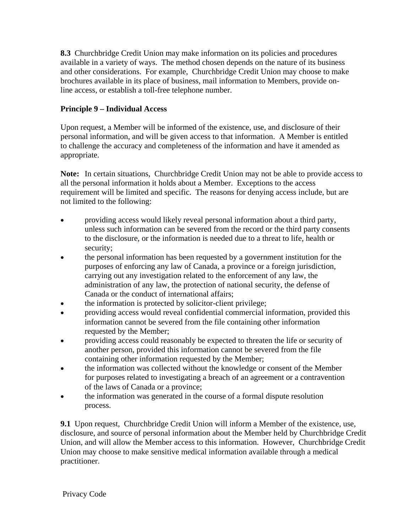**8.3** Churchbridge Credit Union may make information on its policies and procedures available in a variety of ways. The method chosen depends on the nature of its business and other considerations. For example, Churchbridge Credit Union may choose to make brochures available in its place of business, mail information to Members, provide online access, or establish a toll-free telephone number.

#### **Principle 9 – Individual Access**

Upon request, a Member will be informed of the existence, use, and disclosure of their personal information, and will be given access to that information. A Member is entitled to challenge the accuracy and completeness of the information and have it amended as appropriate.

**Note:** In certain situations, Churchbridge Credit Union may not be able to provide access to all the personal information it holds about a Member. Exceptions to the access requirement will be limited and specific. The reasons for denying access include, but are not limited to the following:

- providing access would likely reveal personal information about a third party, unless such information can be severed from the record or the third party consents to the disclosure, or the information is needed due to a threat to life, health or security;
- the personal information has been requested by a government institution for the purposes of enforcing any law of Canada, a province or a foreign jurisdiction, carrying out any investigation related to the enforcement of any law, the administration of any law, the protection of national security, the defense of Canada or the conduct of international affairs;
- the information is protected by solicitor-client privilege;
- providing access would reveal confidential commercial information, provided this information cannot be severed from the file containing other information requested by the Member;
- providing access could reasonably be expected to threaten the life or security of another person, provided this information cannot be severed from the file containing other information requested by the Member;
- the information was collected without the knowledge or consent of the Member for purposes related to investigating a breach of an agreement or a contravention of the laws of Canada or a province;
- the information was generated in the course of a formal dispute resolution process.

**9.1** Upon request, Churchbridge Credit Union will inform a Member of the existence, use, disclosure, and source of personal information about the Member held by Churchbridge Credit Union, and will allow the Member access to this information. However, Churchbridge Credit Union may choose to make sensitive medical information available through a medical practitioner.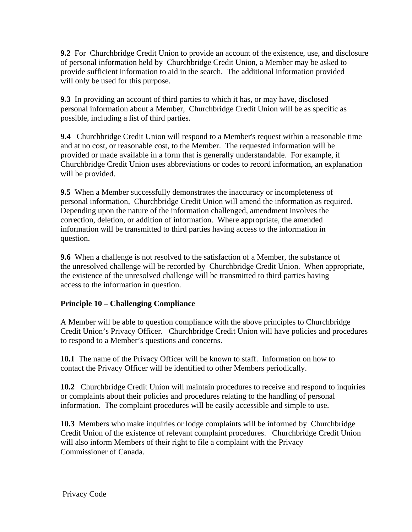**9.2** For Churchbridge Credit Union to provide an account of the existence, use, and disclosure of personal information held by Churchbridge Credit Union, a Member may be asked to provide sufficient information to aid in the search. The additional information provided will only be used for this purpose.

**9.3** In providing an account of third parties to which it has, or may have, disclosed personal information about a Member, Churchbridge Credit Union will be as specific as possible, including a list of third parties.

**9.4** Churchbridge Credit Union will respond to a Member's request within a reasonable time and at no cost, or reasonable cost, to the Member. The requested information will be provided or made available in a form that is generally understandable. For example, if Churchbridge Credit Union uses abbreviations or codes to record information, an explanation will be provided.

**9.5** When a Member successfully demonstrates the inaccuracy or incompleteness of personal information, Churchbridge Credit Union will amend the information as required. Depending upon the nature of the information challenged, amendment involves the correction, deletion, or addition of information. Where appropriate, the amended information will be transmitted to third parties having access to the information in question.

**9.6** When a challenge is not resolved to the satisfaction of a Member, the substance of the unresolved challenge will be recorded by Churchbridge Credit Union. When appropriate, the existence of the unresolved challenge will be transmitted to third parties having access to the information in question.

#### **Principle 10 – Challenging Compliance**

A Member will be able to question compliance with the above principles to Churchbridge Credit Union's Privacy Officer. Churchbridge Credit Union will have policies and procedures to respond to a Member's questions and concerns.

**10.1** The name of the Privacy Officer will be known to staff. Information on how to contact the Privacy Officer will be identified to other Members periodically.

**10.2** Churchbridge Credit Union will maintain procedures to receive and respond to inquiries or complaints about their policies and procedures relating to the handling of personal information. The complaint procedures will be easily accessible and simple to use.

**10.3** Members who make inquiries or lodge complaints will be informed by Churchbridge Credit Union of the existence of relevant complaint procedures. Churchbridge Credit Union will also inform Members of their right to file a complaint with the Privacy Commissioner of Canada.